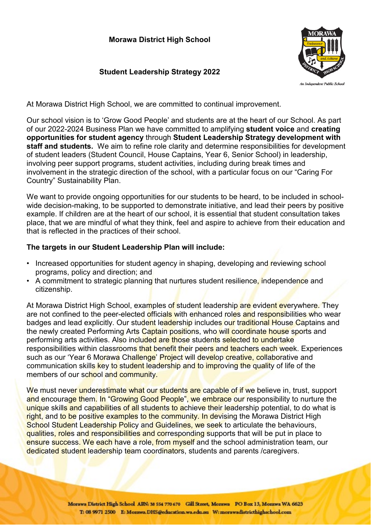## **Morawa District High School**

# **Student Leadership Strategy 2022**



At Morawa District High School, we are committed to continual improvement.

Our school vision is to 'Grow Good People' and students are at the heart of our School. As part of our 2022-2024 Business Plan we have committed to amplifying **student voice** and **creating opportunities for student agency** through **Student Leadership Strategy development with staff and students.** We aim to refine role clarity and determine responsibilities for development of student leaders (Student Council, House Captains, Year 6, Senior School) in leadership, involving peer support programs, student activities, including during break times and involvement in the strategic direction of the school, with a particular focus on our "Caring For Country" Sustainability Plan.

We want to provide ongoing opportunities for our students to be heard, to be included in schoolwide decision-making, to be supported to demonstrate initiative, and lead their peers by positive example. If children are at the heart of our school, it is essential that student consultation takes place, that we are mindful of what they think, feel and aspire to achieve from their education and that is reflected in the practices of their school.

#### **The targets in our Student Leadership Plan will include:**

- Increased opportunities for student agency in shaping, developing and reviewing school programs, policy and direction; and
- A commitment to strategic planning that nurtures student resilience, independence and citizenship.

At Morawa District High School, examples of student leadership are evident everywhere. They are not confined to the peer-elected officials with enhanced roles and responsibilities who wear badges and lead explicitly. Our student leadership includes our traditional House Captains and the newly created Performing Arts Captain positions, who will coordinate house sports and performing arts activities. Also included are those students selected to undertake responsibilities within classrooms that benefit their peers and teachers each week. Experiences such as our 'Year 6 Morawa Challenge' Project will develop creative, collaborative and communication skills key to student leadership and to improving the quality of life of the members of our school and community.

We must never underestimate what our students are capable of if we believe in, trust, support and encourage them. In "Growing Good People", we embrace our responsibility to nurture the unique skills and capabilities of all students to achieve their leadership potential, to do what is right, and to be positive examples to the community. In devising the Morawa District High School Student Leadership Policy and Guidelines, we seek to articulate the behaviours, qualities, roles and responsibilities and corresponding supports that will be put in place to ensure success. We each have a role, from myself and the school administration team, our dedicated student leadership team coordinators, students and parents / caregivers.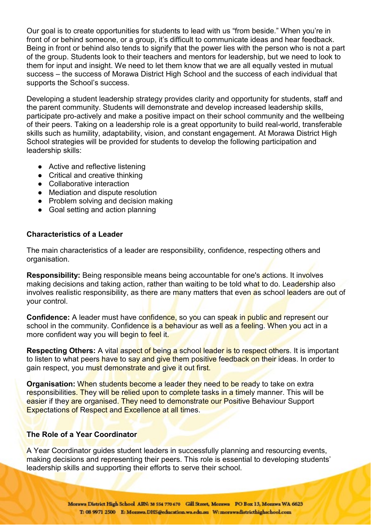Our goal is to create opportunities for students to lead with us "from beside." When you're in front of or behind someone, or a group, it's difficult to communicate ideas and hear feedback. Being in front or behind also tends to signify that the power lies with the person who is not a part of the group. Students look to their teachers and mentors for leadership, but we need to look to them for input and insight. We need to let them know that we are all equally vested in mutual success – the success of Morawa District High School and the success of each individual that supports the School's success.

Developing a student leadership strategy provides clarity and opportunity for students, staff and the parent community. Students will demonstrate and develop increased leadership skills, participate pro-actively and make a positive impact on their school community and the wellbeing of their peers. Taking on a leadership role is a great opportunity to build real-world, transferable skills such as humility, adaptability, vision, and constant engagement. At Morawa District High School strategies will be provided for students to develop the following participation and leadership skills:

- Active and reflective listening
- Critical and creative thinking
- Collaborative interaction
- Mediation and dispute resolution
- Problem solving and decision making
- Goal setting and action planning

### **Characteristics of a Leader**

The main characteristics of a leader are responsibility, confidence, respecting others and organisation.

**Responsibility:** Being responsible means being accountable for one's actions. It involves making decisions and taking action, rather than waiting to be told what to do. Leadership also involves realistic responsibility, as there are many matters that even as school leaders are out of your control.

**Confidence:** A leader must have confidence, so you can speak in public and represent our school in the community. Confidence is a behaviour as well as a feeling. When you act in a more confident way you will begin to feel it.

**Respecting Others:** A vital aspect of being a school leader is to respect others. It is important to listen to what peers have to say and give them positive feedback on their ideas. In order to gain respect, you must demonstrate and give it out first.

**Organisation:** When students become a leader they need to be ready to take on extra responsibilities. They will be relied upon to complete tasks in a timely manner. This will be easier if they are organised. They need to demonstrate our Positive Behaviour Support Expectations of Respect and Excellence at all times.

### **The Role of a Year Coordinator**

A Year Coordinator guides student leaders in successfully planning and resourcing events, making decisions and representing their peers. This role is essential to developing students' leadership skills and supporting their efforts to serve their school.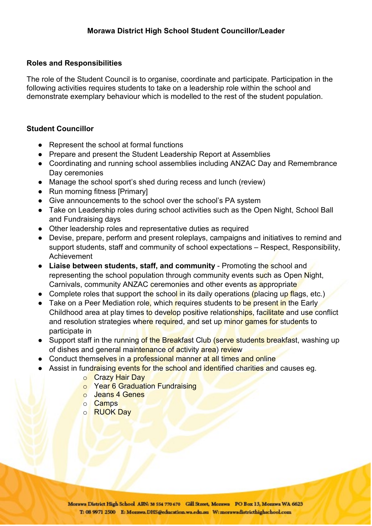## **Roles and Responsibilities**

The role of the Student Council is to organise, coordinate and participate. Participation in the following activities requires students to take on a leadership role within the school and demonstrate exemplary behaviour which is modelled to the rest of the student population.

## **Student Councillor**

- Represent the school at formal functions
- Prepare and present the Student Leadership Report at Assemblies
- Coordinating and running school assemblies including ANZAC Day and Remembrance Day ceremonies
- Manage the school sport's shed during recess and lunch (review)
- Run morning fitness [Primary]
- Give announcements to the school over the school's PA system
- Take on Leadership roles during school activities such as the Open Night, School Ball and Fundraising days
- Other leadership roles and representative duties as required
- Devise, prepare, perform and present roleplays, campaigns and initiatives to remind and support students, staff and community of school expectations – Respect, Responsibility, Achievement
- **Liaise between students, staff, and community** Promoting the school and representing the school population through community events such as Open Night, Carnivals, community ANZAC ceremonies and other events as appropriate
- Complete roles that support the school in its daily operations (placing up flags, etc.)
- Take on a Peer Mediation role, which requires students to be present in the Early Childhood area at play times to develop positive relationships, facilitate and use conflict and resolution strategies where required, and set up minor games for students to participate in
- Support staff in the running of the Breakfast Club (serve students breakfast, washing up of dishes and general maintenance of activity area) review
- Conduct themselves in a professional manner at all times and online
- Assist in fundraising events for the school and identified charities and causes eg.
	- o Crazy Hair Day
	- o Year 6 Graduation Fundraising
	- o Jeans 4 Genes
	- o Camps
	- o RUOK Day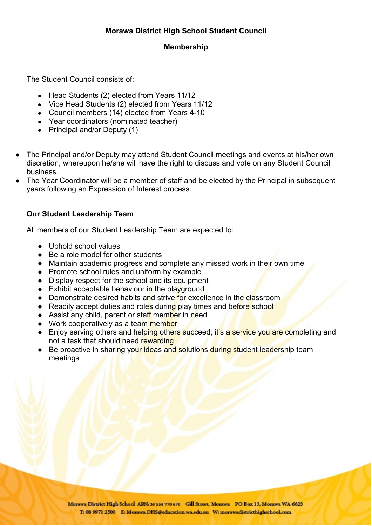## **Morawa District High School Student Council**

### **Membership**

The Student Council consists of:

- Head Students (2) elected from Years 11/12
- Vice Head Students (2) elected from Years 11/12
- Council members (14) elected from Years 4-10
- Year coordinators (nominated teacher)<br>● Principal and/or Deputy (1)
- Principal and/or Deputy (1)
- The Principal and/or Deputy may attend Student Council meetings and events at his/her own discretion, whereupon he/she will have the right to discuss and vote on any Student Council business.
- The Year Coordinator will be a member of staff and be elected by the Principal in subsequent years following an Expression of Interest process.

## **Our Student Leadership Team**

All members of our Student Leadership Team are expected to:

- Uphold school values
- Be a role model for other students
- Maintain academic progress and complete any missed work in their own time
- Promote school rules and uniform by example
- Display respect for the school and its equipment
- $\bullet$  Exhibit acceptable behaviour in the playground
- Demonstrate desired habits and strive for excellence in the classroom
- Readily accept duties and roles during play times and before school
- Assist any child, parent or staff member in need
- Work cooperatively as a team member
- Enjoy serving others and helping others succeed; it's a service you are completing and not a task that should need rewarding
- Be proactive in sharing your ideas and solutions during student leadership team meetings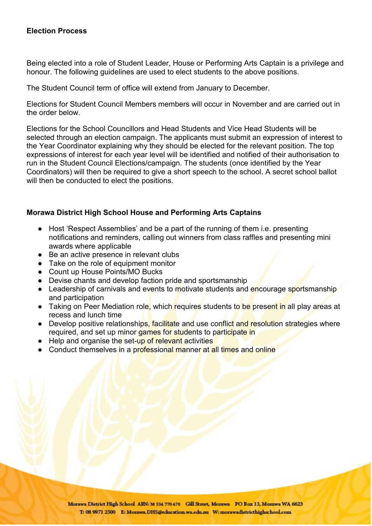### **Election Process**

Being elected into a role of Student Leader, House or Performing Arts Captain is a privilege and honour. The following guidelines are used to elect students to the above positions.

The Student Council term of office will extend from January to December.

Elections for Student Council Members members will occur in November and are carried out in the order below.

Elections for the School Councillors and Head Students and Vice Head Students will be selected through an election campaign. The applicants must submit an expression of interest to the Year Coordinator explaining why they should be elected for the relevant position. The top expressions of interest for each year level will be identified and notified of their authorisation to run in the Student Council Elections/campaign. The students (once identified by the Year Coordinators) will then be required to give a short speech to the school. A secret school ballot will then be conducted to elect the positions.

### **Morawa District High School House and Performing Arts Captains**

- Host 'Respect Assemblies' and be a part of the running of them i.e. presenting notifications and reminders, calling out winners from class raffles and presenting mini awards where applicable
- Be an active presence in relevant clubs
- Take on the role of equipment monitor
- Count up House Points/MO Bucks
- Devise chants and develop faction pride and sportsmanship
- Leadership of carnivals and events to motivate students and encourage sportsmanship and participation
- Taking on Peer Mediation role, which requires students to be present in all play areas at recess and lunch time
- Develop positive relationships, facilitate and use conflict and resolution strategies where required, and set up minor games for students to participate in
- Help and organise the set-up of relevant activities
- Conduct themselves in a professional manner at all times and online